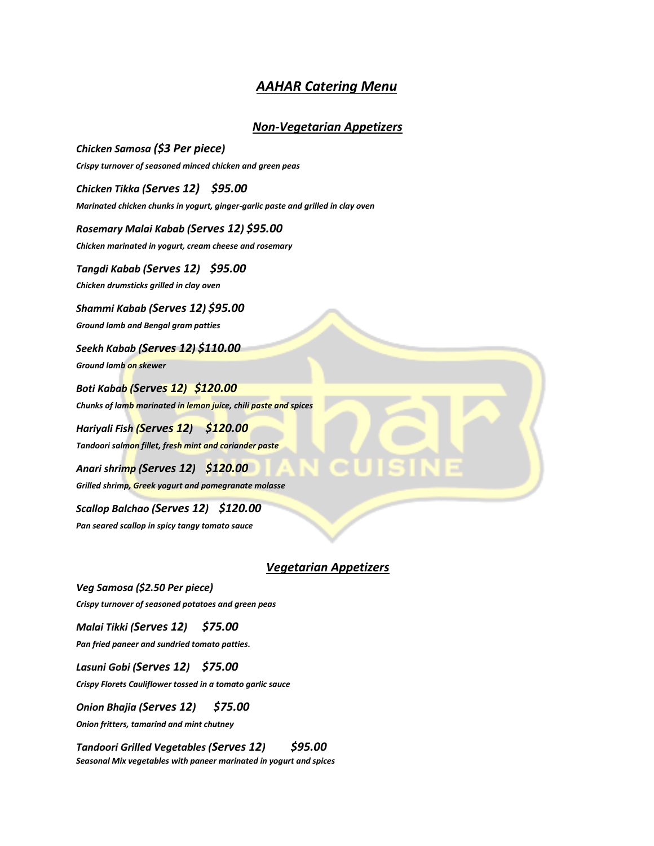## *AAHAR Catering Menu*

### *Non-Vegetarian Appetizers*

*Chicken Samosa (\$3 Per piece) Crispy turnover of seasoned minced chicken and green peas Chicken Tikka (Serves 12) \$95.00 Marinated chicken chunks in yogurt, ginger-garlic paste and grilled in clay oven Rosemary Malai Kabab (Serves 12) \$95.00 Chicken marinated in yogurt, cream cheese and rosemary Tangdi Kabab (Serves 12) \$95.00 Chicken drumsticks grilled in clay oven Shammi Kabab (Serves 12) \$95.00 Ground lamb and Bengal gram patties Seekh Kabab (Serves 12) \$110.00 Ground lamb on skewer Boti Kabab (Serves 12) \$120.00 Chunks of lamb marinated in lemon juice, chili paste and spices Hariyali Fish (Serves 12) \$120.00 Tandoori salmon fillet, fresh mint and coriander paste Anari shrimp (Serves 12) \$120.00 Grilled shrimp, Greek yogurt and pomegranate molasse Scallop Balchao (Serves 12) \$120.00 Pan seared scallop in spicy tangy tomato sauce* 

### *Vegetarian Appetizers*

*Veg Samosa (\$2.50 Per piece) Crispy turnover of seasoned potatoes and green peas* 

*Malai Tikki (Serves 12) \$75.00* 

*Pan fried paneer and sundried tomato patties.* 

*Lasuni Gobi (Serves 12) \$75.00 Crispy Florets Cauliflower tossed in a tomato garlic sauce* 

*Onion Bhajia (Serves 12) \$75.00* 

*Onion fritters, tamarind and mint chutney* 

*Tandoori Grilled Vegetables (Serves 12) \$95.00 Seasonal Mix vegetables with paneer marinated in yogurt and spices*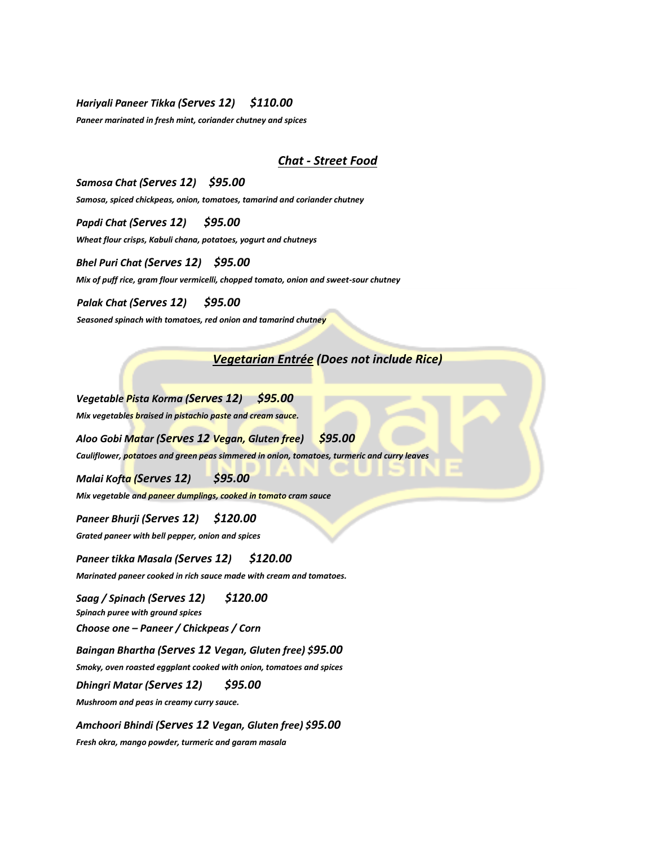#### *Hariyali Paneer Tikka (Serves 12) \$110.00*

*Paneer marinated in fresh mint, coriander chutney and spices* 

### *Chat - Street Food*

*Samosa Chat (Serves 12) \$95.00 Samosa, spiced chickpeas, onion, tomatoes, tamarind and coriander chutney* 

*Papdi Chat (Serves 12) \$95.00 Wheat flour crisps, Kabuli chana, potatoes, yogurt and chutneys* 

*Bhel Puri Chat (Serves 12) \$95.00 Mix of puff rice, gram flour vermicelli, chopped tomato, onion and sweet-sour chutney* 

*Palak Chat (Serves 12) \$95.00* 

*Seasoned spinach with tomatoes, red onion and tamarind chutney*

# *Vegetarian Entrée (Does not include Rice)*

*Vegetable Pista Korma (Serves 12) \$95.00* 

*Mix vegetables braised in pistachio paste and cream sauce.* 

*Aloo Gobi Matar (Serves 12 Vegan, Gluten free) \$95.00* 

*Cauliflower, potatoes and green peas simmered in onion, tomatoes, turmeric and curry leaves* 

*Malai Kofta (Serves 12) \$95.00* 

*Mix vegetable and paneer dumplings, cooked in tomato cram sauce* 

*Paneer Bhurji (Serves 12) \$120.00* 

*Grated paneer with bell pepper, onion and spices* 

*Paneer tikka Masala (Serves 12) \$120.00 Marinated paneer cooked in rich sauce made with cream and tomatoes.* 

*Saag / Spinach (Serves 12) \$120.00 Spinach puree with ground spices* 

*Choose one – Paneer / Chickpeas / Corn* 

*Baingan Bhartha (Serves 12 Vegan, Gluten free) \$95.00* 

*Smoky, oven roasted eggplant cooked with onion, tomatoes and spices* 

*Dhingri Matar (Serves 12) \$95.00* 

*Mushroom and peas in creamy curry sauce.* 

*Amchoori Bhindi (Serves 12 Vegan, Gluten free) \$95.00 Fresh okra, mango powder, turmeric and garam masala*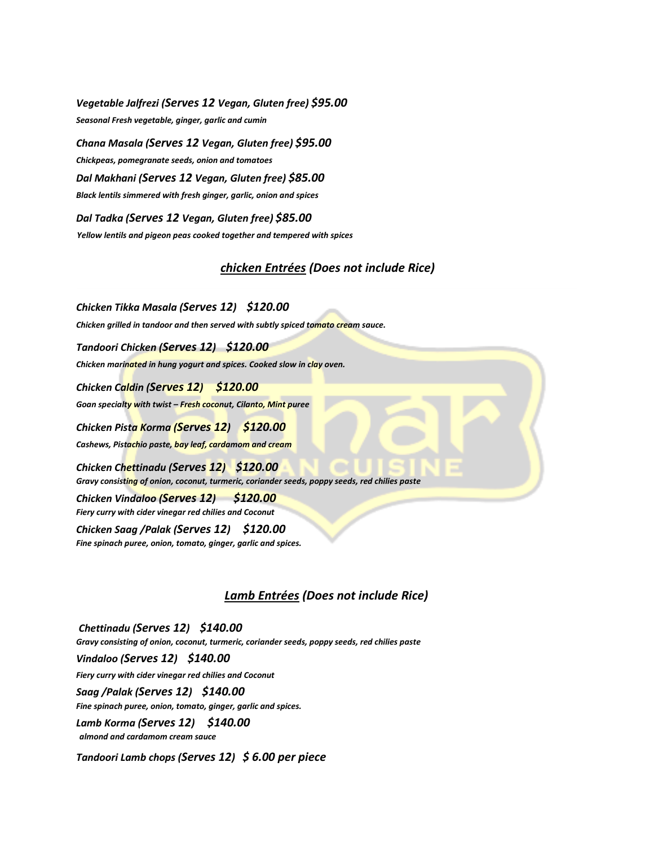*Vegetable Jalfrezi (Serves 12 Vegan, Gluten free) \$95.00 Seasonal Fresh vegetable, ginger, garlic and cumin* 

*Chana Masala (Serves 12 Vegan, Gluten free) \$95.00 Chickpeas, pomegranate seeds, onion and tomatoes Dal Makhani (Serves 12 Vegan, Gluten free) \$85.00 Black lentils simmered with fresh ginger, garlic, onion and spices* 

*Dal Tadka (Serves 12 Vegan, Gluten free) \$85.00 Yellow lentils and pigeon peas cooked together and tempered with spices*

## *chicken Entrées (Does not include Rice)*

*Chicken Tikka Masala (Serves 12) \$120.00 Chicken grilled in tandoor and then served with subtly spiced tomato cream sauce.* 

*Tandoori Chicken (Serves 12) \$120.00* 

*Chicken marinated in hung yogurt and spices. Cooked slow in clay oven.* 

*Chicken Caldin (Serves 12) \$120.00* 

*Goan specialty with twist – Fresh coconut, Cilanto, Mint puree* 

*Chicken Pista Korma (Serves 12) \$120.00* 

*Cashews, Pistachio paste, bay leaf, cardamom and cream* 

*Chicken Chettinadu (Serves 12) \$120.00 Gravy consisting of onion, coconut, turmeric, coriander seeds, poppy seeds, red chilies paste* 

*Chicken Vindaloo (Serves 12) \$120.00 Fiery curry with cider vinegar red chilies and Coconut* 

*Chicken Saag /Palak (Serves 12) \$120.00 Fine spinach puree, onion, tomato, ginger, garlic and spices.*

## *Lamb Entrées (Does not include Rice)*

*Chettinadu (Serves 12) \$140.00 Gravy consisting of onion, coconut, turmeric, coriander seeds, poppy seeds, red chilies paste Vindaloo (Serves 12) \$140.00 Fiery curry with cider vinegar red chilies and Coconut Saag /Palak (Serves 12) \$140.00 Fine spinach puree, onion, tomato, ginger, garlic and spices. Lamb Korma (Serves 12) \$140.00 almond and cardamom cream sauce Tandoori Lamb chops (Serves 12) \$ 6.00 per piece*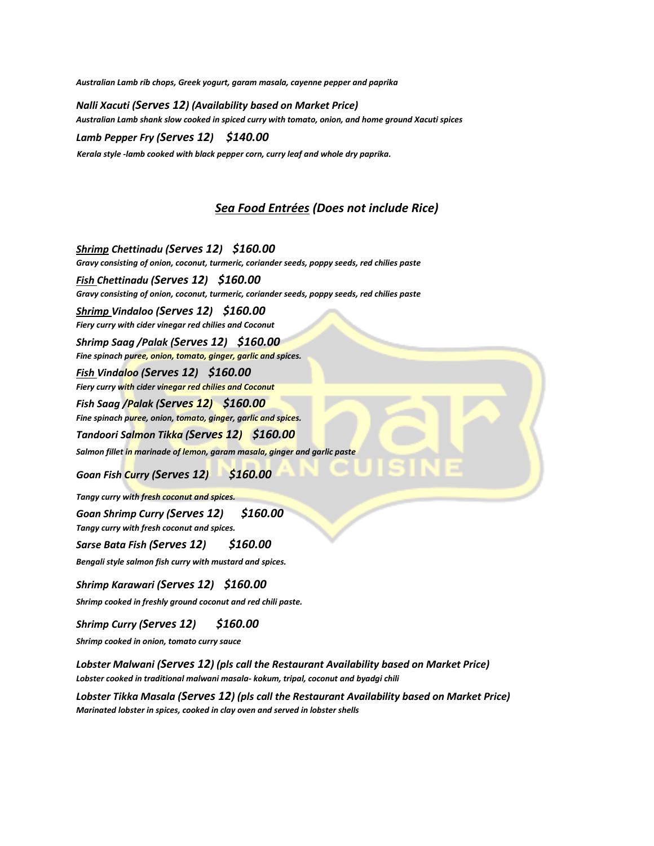*Australian Lamb rib chops, Greek yogurt, garam masala, cayenne pepper and paprika* 

*Nalli Xacuti (Serves 12) (Availability based on Market Price) Australian Lamb shank slow cooked in spiced curry with tomato, onion, and home ground Xacuti spices Lamb Pepper Fry (Serves 12) \$140.00* 

*Kerala style -lamb cooked with black pepper corn, curry leaf and whole dry paprika.*

### *Sea Food Entrées (Does not include Rice)*

*Shrimp Chettinadu (Serves 12) \$160.00 Gravy consisting of onion, coconut, turmeric, coriander seeds, poppy seeds, red chilies paste* 

*Fish Chettinadu (Serves 12) \$160.00*

*Gravy consisting of onion, coconut, turmeric, coriander seeds, poppy seeds, red chilies paste* 

*Shrimp Vindaloo (Serves 12) \$160.00*

*Fiery curry with cider vinegar red chilies and Coconut* 

*Shrimp Saag /Palak (Serves 12) \$160.00*

*Fine spinach puree, onion, tomato, ginger, garlic and spices.* 

*Fish Vindaloo (Serves 12) \$160.00*

*Fiery curry with cider vinegar red chilies and Coconut* 

*Fish Saag /Palak (Serves 12) \$160.00*

*Fine spinach puree, onion, tomato, ginger, garlic and spices.* 

*Tandoori Salmon Tikka (Serves 12) \$160.00* 

*Salmon fillet in marinade of lemon, garam masala, ginger and garlic paste* 

*Goan Fish Curry (Serves 12) \$160.00* 

*Tangy curry with fresh coconut and spices.* 

*Goan Shrimp Curry (Serves 12) \$160.00 Tangy curry with fresh coconut and spices.* 

*Sarse Bata Fish (Serves 12) \$160.00* 

*Bengali style salmon fish curry with mustard and spices.* 

*Shrimp Karawari (Serves 12) \$160.00* 

*Shrimp cooked in freshly ground coconut and red chili paste.* 

*Shrimp Curry (Serves 12) \$160.00* 

*Shrimp cooked in onion, tomato curry sauce* 

*Lobster Malwani (Serves 12) (pls call the Restaurant Availability based on Market Price) Lobster cooked in traditional malwani masala- kokum, tripal, coconut and byadgi chili* 

*Lobster Tikka Masala (Serves 12) (pls call the Restaurant Availability based on Market Price) Marinated lobster in spices, cooked in clay oven and served in lobster shells*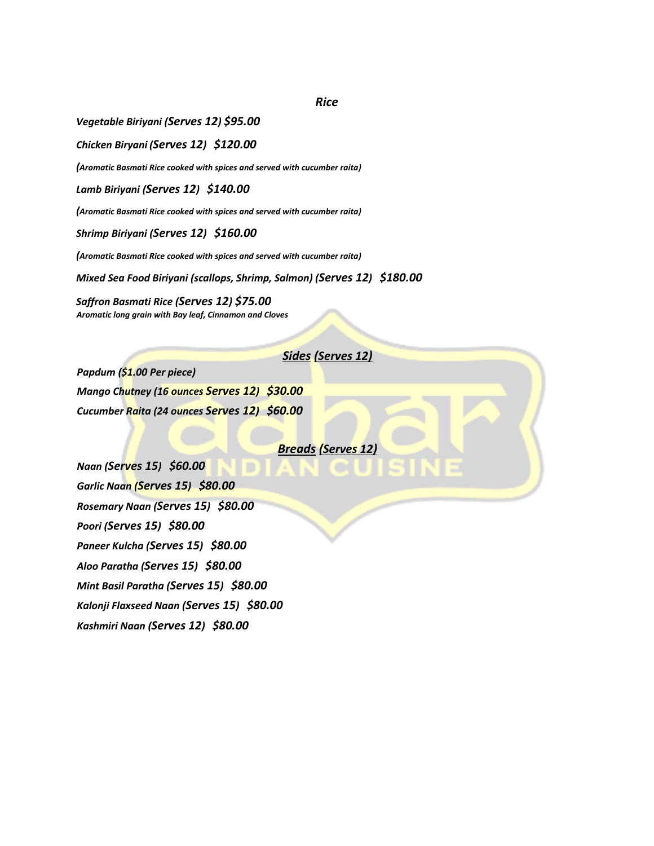*Rice*

*Vegetable Biriyani (Serves 12) \$95.00*

*Chicken Biryani (Serves 12) \$120.00*

*(Aromatic Basmati Rice cooked with spices and served with cucumber raita)*

*Lamb Biriyani (Serves 12) \$140.00*

*(Aromatic Basmati Rice cooked with spices and served with cucumber raita)*

*Shrimp Biriyani (Serves 12) \$160.00*

*(Aromatic Basmati Rice cooked with spices and served with cucumber raita)*

*Mixed Sea Food Biriyani (scallops, Shrimp, Salmon) (Serves 12) \$180.00*

*Saffron Basmati Rice (Serves 12) \$75.00 Aromatic long grain with Bay leaf, Cinnamon and Cloves*

# *Sides (Serves 12)*

*Papdum (\$1.00 Per piece) Mango Chutney (16 ounces Serves 12) \$30.00 Cucumber Raita (24 ounces Serves 12) \$60.00*

#### *Breads (Serves 12)*

*Naan (Serves 15) \$60.00 Garlic Naan (Serves 15) \$80.00 Rosemary Naan (Serves 15) \$80.00 Poori (Serves 15) \$80.00 Paneer Kulcha (Serves 15) \$80.00 Aloo Paratha (Serves 15) \$80.00 Mint Basil Paratha (Serves 15) \$80.00 Kalonji Flaxseed Naan (Serves 15) \$80.00 Kashmiri Naan (Serves 12) \$80.00*